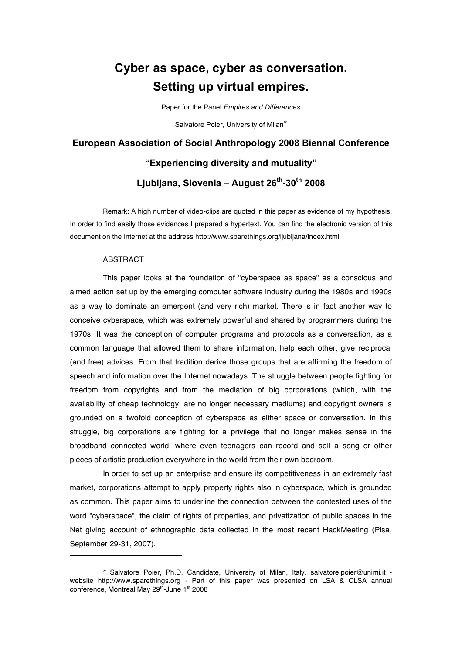## **Cyber as space, cyber as conversation. Setting up virtual empires.**

Paper for the Panel *Empires and Differences*

Salvatore Poier, University of Milan<sup>®</sup>

# **European Association of Social Anthropology 2008 Biennal Conference "Experiencing diversity and mutuality" Ljubljana, Slovenia – August 26th-30th 2008**

Remark: A high number of video-clips are quoted in this paper as evidence of my hypothesis. In order to find easily those evidences I prepared a hypertext. You can find the electronic version of this document on the Internet at the address http://www.sparethings.org/ljubljana/index.html

#### ABSTRACT

l

This paper looks at the foundation of "cyberspace as space" as a conscious and aimed action set up by the emerging computer software industry during the 1980s and 1990s as a way to dominate an emergent (and very rich) market. There is in fact another way to conceive cyberspace, which was extremely powerful and shared by programmers during the 1970s. It was the conception of computer programs and protocols as a conversation, as a common language that allowed them to share information, help each other, give reciprocal (and free) advices. From that tradition derive those groups that are affirming the freedom of speech and information over the Internet nowadays. The struggle between people fighting for freedom from copyrights and from the mediation of big corporations (which, with the availability of cheap technology, are no longer necessary mediums) and copyright owners is grounded on a twofold conception of cyberspace as either space or conversation. In this struggle, big corporations are fighting for a privilege that no longer makes sense in the broadband connected world, where even teenagers can record and sell a song or other pieces of artistic production everywhere in the world from their own bedroom.

In order to set up an enterprise and ensure its competitiveness in an extremely fast market, corporations attempt to apply property rights also in cyberspace, which is grounded as common. This paper aims to underline the connection between the contested uses of the word "cyberspace", the claim of rights of properties, and privatization of public spaces in the Net giving account of ethnographic data collected in the most recent HackMeeting (Pisa, September 29-31, 2007).

<sup>∞</sup> Salvatore Poier, Ph.D. Candidate, University of Milan, Italy. salvatore.poier@unimi.it website http://www.sparethings.org - Part of this paper was presented on LSA & CLSA annual conference, Montreal May 29<sup>th</sup>-June 1<sup>st</sup> 2008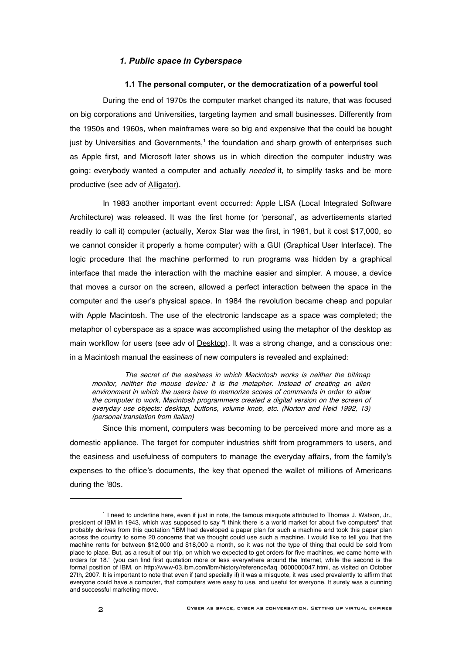#### *1. Public space in Cyberspace*

#### **1.1 The personal computer, or the democratization of a powerful tool**

During the end of 1970s the computer market changed its nature, that was focused on big corporations and Universities, targeting laymen and small businesses. Differently from the 1950s and 1960s, when mainframes were so big and expensive that the could be bought just by Universities and Governments,<sup>1</sup> the foundation and sharp growth of enterprises such as Apple first, and Microsoft later shows us in which direction the computer industry was going: everybody wanted a computer and actually needed it, to simplify tasks and be more productive (see adv of Alligator).

In 1983 another important event occurred: Apple LISA (Local Integrated Software Architecture) was released. It was the first home (or 'personal', as advertisements started readily to call it) computer (actually, Xerox Star was the first, in 1981, but it cost \$17,000, so we cannot consider it properly a home computer) with a GUI (Graphical User Interface). The logic procedure that the machine performed to run programs was hidden by a graphical interface that made the interaction with the machine easier and simpler. A mouse, a device that moves a cursor on the screen, allowed a perfect interaction between the space in the computer and the user's physical space. In 1984 the revolution became cheap and popular with Apple Macintosh. The use of the electronic landscape as a space was completed; the metaphor of cyberspace as a space was accomplished using the metaphor of the desktop as main workflow for users (see adv of **Desktop**). It was a strong change, and a conscious one: in a Macintosh manual the easiness of new computers is revealed and explained:

The secret of the easiness in which Macintosh works is neither the bit/map monitor, neither the mouse device: it is the metaphor. Instead of creating an alien environment in which the users have to memorize scores of commands in order to allow the computer to work, Macintosh programmers created <sup>a</sup> digital version on the screen of everyday use objects: desktop, buttons, volume knob, etc. (Norton and Heid 1992, 13) (personal translation from Italian)

Since this moment, computers was becoming to be perceived more and more as a domestic appliance. The target for computer industries shift from programmers to users, and the easiness and usefulness of computers to manage the everyday affairs, from the family's expenses to the office's documents, the key that opened the wallet of millions of Americans during the '80s.

l

<sup>1</sup> I need to underline here, even if just in note, the famous misquote attributed to Thomas J. Watson, Jr., president of IBM in 1943, which was supposed to say "I think there is a world market for about five computers" that probably derives from this quotation "IBM had developed a paper plan for such a machine and took this paper plan across the country to some 20 concerns that we thought could use such a machine. I would like to tell you that the machine rents for between \$12,000 and \$18,000 a month, so it was not the type of thing that could be sold from place to place. But, as a result of our trip, on which we expected to get orders for five machines, we came home with orders for 18." (you can find first quotation more or less everywhere around the Internet, while the second is the formal position of IBM, on http://www-03.jbm.com/ibm/history/reference/faq\_0000000047.html, as visited on October 27th, 2007. It is important to note that even if (and specially if) it was a misquote, it was used prevalently to affirm that everyone could have a computer, that computers were easy to use, and useful for everyone. It surely was a cunning and successful marketing move.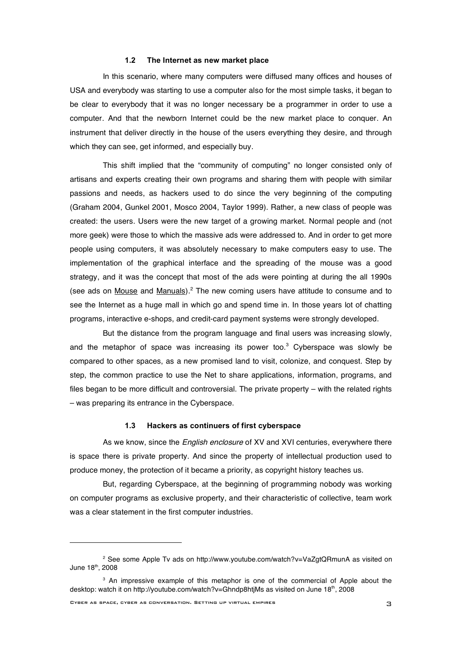#### **1.2 The Internet as new market place**

In this scenario, where many computers were diffused many offices and houses of USA and everybody was starting to use a computer also for the most simple tasks, it began to be clear to everybody that it was no longer necessary be a programmer in order to use a computer. And that the newborn Internet could be the new market place to conquer. An instrument that deliver directly in the house of the users everything they desire, and through which they can see, get informed, and especially buy.

This shift implied that the "community of computing" no longer consisted only of artisans and experts creating their own programs and sharing them with people with similar passions and needs, as hackers used to do since the very beginning of the computing (Graham 2004, Gunkel 2001, Mosco 2004, Taylor 1999). Rather, a new class of people was created: the users. Users were the new target of a growing market. Normal people and (not more geek) were those to which the massive ads were addressed to. And in order to get more people using computers, it was absolutely necessary to make computers easy to use. The implementation of the graphical interface and the spreading of the mouse was a good strategy, and it was the concept that most of the ads were pointing at during the all 1990s (see ads on Mouse and Manuals).<sup>2</sup> The new coming users have attitude to consume and to see the Internet as a huge mall in which go and spend time in. In those years lot of chatting programs, interactive e-shops, and credit-card payment systems were strongly developed.

But the distance from the program language and final users was increasing slowly, and the metaphor of space was increasing its power too.<sup>3</sup> Cyberspace was slowly be compared to other spaces, as a new promised land to visit, colonize, and conquest. Step by step, the common practice to use the Net to share applications, information, programs, and files began to be more difficult and controversial. The private property – with the related rights – was preparing its entrance in the Cyberspace.

#### **1.3 Hackers as continuers of first cyberspace**

As we know, since the *English enclosure* of XV and XVI centuries, everywhere there is space there is private property. And since the property of intellectual production used to produce money, the protection of it became a priority, as copyright history teaches us.

But, regarding Cyberspace, at the beginning of programming nobody was working on computer programs as exclusive property, and their characteristic of collective, team work was a clear statement in the first computer industries.

l

<sup>2</sup> See some Apple Tv ads on http://www.youtube.com/watch?v=VaZgtQRmunA as visited on June 18<sup>th</sup>, 2008

<sup>&</sup>lt;sup>3</sup> An impressive example of this metaphor is one of the commercial of Apple about the desktop: watch it on http://youtube.com/watch?v=Ghndp8htjMs as visited on June 18<sup>th</sup>, 2008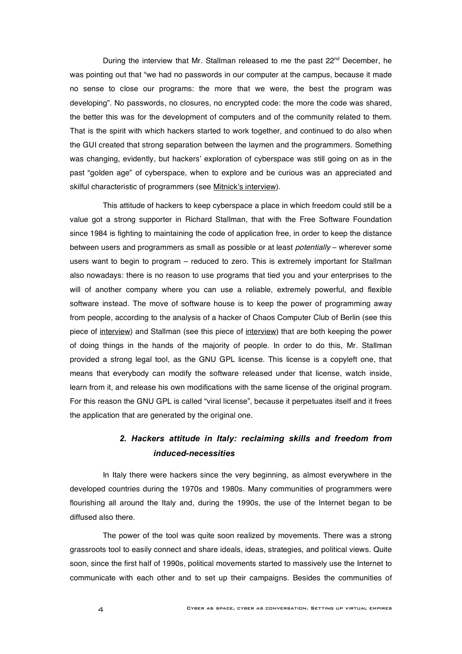During the interview that Mr. Stallman released to me the past  $22<sup>nd</sup>$  December, he was pointing out that "we had no passwords in our computer at the campus, because it made no sense to close our programs: the more that we were, the best the program was developing". No passwords, no closures, no encrypted code: the more the code was shared, the better this was for the development of computers and of the community related to them. That is the spirit with which hackers started to work together, and continued to do also when the GUI created that strong separation between the laymen and the programmers. Something was changing, evidently, but hackers' exploration of cyberspace was still going on as in the past "golden age" of cyberspace, when to explore and be curious was an appreciated and skilful characteristic of programmers (see Mitnick's interview).

This attitude of hackers to keep cyberspace a place in which freedom could still be a value got a strong supporter in Richard Stallman, that with the Free Software Foundation since 1984 is fighting to maintaining the code of application free, in order to keep the distance between users and programmers as small as possible or at least *potentially* – wherever some users want to begin to program – reduced to zero. This is extremely important for Stallman also nowadays: there is no reason to use programs that tied you and your enterprises to the will of another company where you can use a reliable, extremely powerful, and flexible software instead. The move of software house is to keep the power of programming away from people, according to the analysis of a hacker of Chaos Computer Club of Berlin (see this piece of interview) and Stallman (see this piece of interview) that are both keeping the power of doing things in the hands of the majority of people. In order to do this, Mr. Stallman provided a strong legal tool, as the GNU GPL license. This license is a copyleft one, that means that everybody can modify the software released under that license, watch inside, learn from it, and release his own modifications with the same license of the original program. For this reason the GNU GPL is called "viral license", because it perpetuates itself and it frees the application that are generated by the original one.

### *2. Hackers attitude in Italy: reclaiming skills and freedom from induced-necessities*

In Italy there were hackers since the very beginning, as almost everywhere in the developed countries during the 1970s and 1980s. Many communities of programmers were flourishing all around the Italy and, during the 1990s, the use of the Internet began to be diffused also there.

The power of the tool was quite soon realized by movements. There was a strong grassroots tool to easily connect and share ideals, ideas, strategies, and political views. Quite soon, since the first half of 1990s, political movements started to massively use the Internet to communicate with each other and to set up their campaigns. Besides the communities of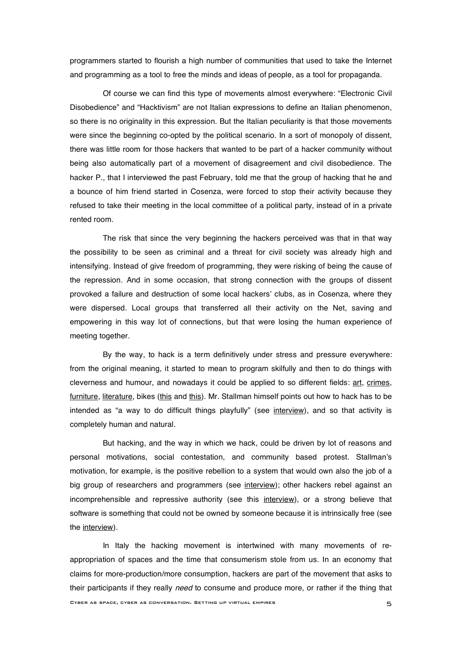programmers started to flourish a high number of communities that used to take the Internet and programming as a tool to free the minds and ideas of people, as a tool for propaganda.

Of course we can find this type of movements almost everywhere: "Electronic Civil Disobedience" and "Hacktivism" are not Italian expressions to define an Italian phenomenon, so there is no originality in this expression. But the Italian peculiarity is that those movements were since the beginning co-opted by the political scenario. In a sort of monopoly of dissent, there was little room for those hackers that wanted to be part of a hacker community without being also automatically part of a movement of disagreement and civil disobedience. The hacker P., that I interviewed the past February, told me that the group of hacking that he and a bounce of him friend started in Cosenza, were forced to stop their activity because they refused to take their meeting in the local committee of a political party, instead of in a private rented room.

The risk that since the very beginning the hackers perceived was that in that way the possibility to be seen as criminal and a threat for civil society was already high and intensifying. Instead of give freedom of programming, they were risking of being the cause of the repression. And in some occasion, that strong connection with the groups of dissent provoked a failure and destruction of some local hackers' clubs, as in Cosenza, where they were dispersed. Local groups that transferred all their activity on the Net, saving and empowering in this way lot of connections, but that were losing the human experience of meeting together.

By the way, to hack is a term definitively under stress and pressure everywhere: from the original meaning, it started to mean to program skilfully and then to do things with cleverness and humour, and nowadays it could be applied to so different fields: art, crimes, furniture, literature, bikes (this and this). Mr. Stallman himself points out how to hack has to be intended as "a way to do difficult things playfully" (see interview), and so that activity is completely human and natural.

But hacking, and the way in which we hack, could be driven by lot of reasons and personal motivations, social contestation, and community based protest. Stallman's motivation, for example, is the positive rebellion to a system that would own also the job of a big group of researchers and programmers (see interview); other hackers rebel against an incomprehensible and repressive authority (see this interview), or a strong believe that software is something that could not be owned by someone because it is intrinsically free (see the interview).

In Italy the hacking movement is intertwined with many movements of reappropriation of spaces and the time that consumerism stole from us. In an economy that claims for more-production/more consumption, hackers are part of the movement that asks to their participants if they really need to consume and produce more, or rather if the thing that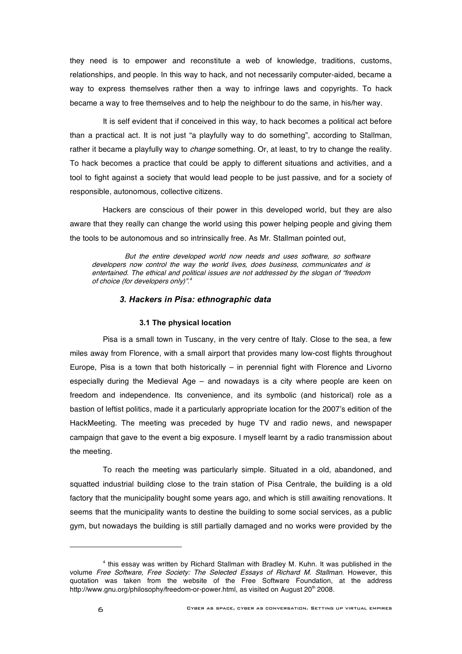they need is to empower and reconstitute a web of knowledge, traditions, customs, relationships, and people. In this way to hack, and not necessarily computer-aided, became a way to express themselves rather then a way to infringe laws and copyrights. To hack became a way to free themselves and to help the neighbour to do the same, in his/her way.

It is self evident that if conceived in this way, to hack becomes a political act before than a practical act. It is not just "a playfully way to do something", according to Stallman, rather it became a playfully way to *change* something. Or, at least, to try to change the reality. To hack becomes a practice that could be apply to different situations and activities, and a tool to fight against a society that would lead people to be just passive, and for a society of responsible, autonomous, collective citizens.

Hackers are conscious of their power in this developed world, but they are also aware that they really can change the world using this power helping people and giving them the tools to be autonomous and so intrinsically free. As Mr. Stallman pointed out,

But the entire developed world now needs and uses software, so software developers now control the way the world lives, does business, communicates and is entertained. The ethical and political issues are not addressed by the slogan of "freedom of choice (for developers only)". 4

#### *3. Hackers in Pisa: ethnographic data*

#### **3.1 The physical location**

Pisa is a small town in Tuscany, in the very centre of Italy. Close to the sea, a few miles away from Florence, with a small airport that provides many low-cost flights throughout Europe, Pisa is a town that both historically  $-$  in perennial fight with Florence and Livorno especially during the Medieval Age – and nowadays is a city where people are keen on freedom and independence. Its convenience, and its symbolic (and historical) role as a bastion of leftist politics, made it a particularly appropriate location for the 2007's edition of the HackMeeting. The meeting was preceded by huge TV and radio news, and newspaper campaign that gave to the event a big exposure. I myself learnt by a radio transmission about the meeting.

To reach the meeting was particularly simple. Situated in a old, abandoned, and squatted industrial building close to the train station of Pisa Centrale, the building is a old factory that the municipality bought some years ago, and which is still awaiting renovations. It seems that the municipality wants to destine the building to some social services, as a public gym, but nowadays the building is still partially damaged and no works were provided by the

l

<sup>4</sup> this essay was written by Richard Stallman with Bradley M. Kuhn. It was published in the volume Free Software, Free Society: The Selected Essays of Richard M. Stallman. However, this quotation was taken from the website of the Free Software Foundation, at the address http://www.gnu.org/philosophy/freedom-or-power.html, as visited on August 20<sup>th</sup> 2008.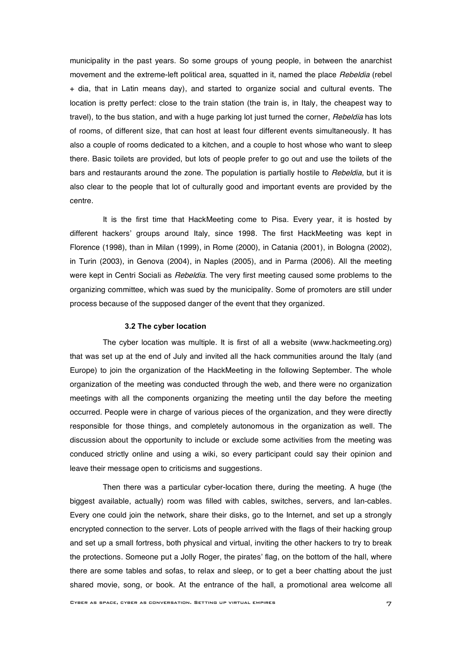municipality in the past years. So some groups of young people, in between the anarchist movement and the extreme-left political area, squatted in it, named the place Rebeldia (rebel + dia, that in Latin means day), and started to organize social and cultural events. The location is pretty perfect: close to the train station (the train is, in Italy, the cheapest way to travel), to the bus station, and with a huge parking lot just turned the corner, Rebeldia has lots of rooms, of different size, that can host at least four different events simultaneously. It has also a couple of rooms dedicated to a kitchen, and a couple to host whose who want to sleep there. Basic toilets are provided, but lots of people prefer to go out and use the toilets of the bars and restaurants around the zone. The population is partially hostile to Rebeldia, but it is also clear to the people that lot of culturally good and important events are provided by the centre.

It is the first time that HackMeeting come to Pisa. Every year, it is hosted by different hackers' groups around Italy, since 1998. The first HackMeeting was kept in Florence (1998), than in Milan (1999), in Rome (2000), in Catania (2001), in Bologna (2002), in Turin (2003), in Genova (2004), in Naples (2005), and in Parma (2006). All the meeting were kept in Centri Sociali as Rebeldia. The very first meeting caused some problems to the organizing committee, which was sued by the municipality. Some of promoters are still under process because of the supposed danger of the event that they organized.

#### **3.2 The cyber location**

The cyber location was multiple. It is first of all a website (www.hackmeeting.org) that was set up at the end of July and invited all the hack communities around the Italy (and Europe) to join the organization of the HackMeeting in the following September. The whole organization of the meeting was conducted through the web, and there were no organization meetings with all the components organizing the meeting until the day before the meeting occurred. People were in charge of various pieces of the organization, and they were directly responsible for those things, and completely autonomous in the organization as well. The discussion about the opportunity to include or exclude some activities from the meeting was conduced strictly online and using a wiki, so every participant could say their opinion and leave their message open to criticisms and suggestions.

Then there was a particular cyber-location there, during the meeting. A huge (the biggest available, actually) room was filled with cables, switches, servers, and lan-cables. Every one could join the network, share their disks, go to the Internet, and set up a strongly encrypted connection to the server. Lots of people arrived with the flags of their hacking group and set up a small fortress, both physical and virtual, inviting the other hackers to try to break the protections. Someone put a Jolly Roger, the pirates' flag, on the bottom of the hall, where there are some tables and sofas, to relax and sleep, or to get a beer chatting about the just shared movie, song, or book. At the entrance of the hall, a promotional area welcome all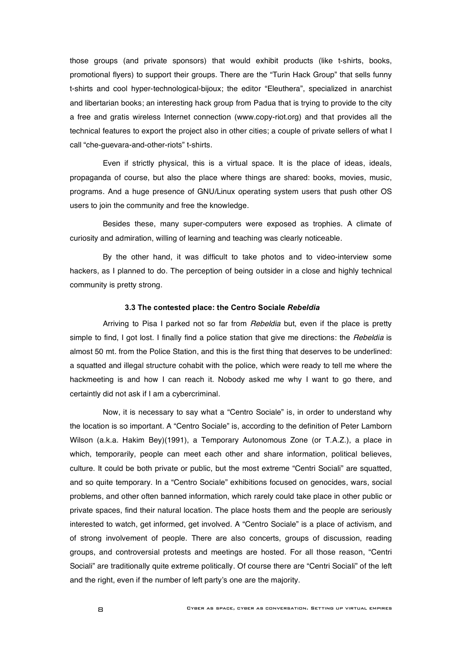those groups (and private sponsors) that would exhibit products (like t-shirts, books, promotional flyers) to support their groups. There are the "Turin Hack Group" that sells funny t-shirts and cool hyper-technological-bijoux; the editor "Eleuthera", specialized in anarchist and libertarian books; an interesting hack group from Padua that is trying to provide to the city a free and gratis wireless Internet connection (www.copy-riot.org) and that provides all the technical features to export the project also in other cities; a couple of private sellers of what I call "che-guevara-and-other-riots" t-shirts.

Even if strictly physical, this is a virtual space. It is the place of ideas, ideals, propaganda of course, but also the place where things are shared: books, movies, music, programs. And a huge presence of GNU/Linux operating system users that push other OS users to join the community and free the knowledge.

Besides these, many super-computers were exposed as trophies. A climate of curiosity and admiration, willing of learning and teaching was clearly noticeable.

By the other hand, it was difficult to take photos and to video-interview some hackers, as I planned to do. The perception of being outsider in a close and highly technical community is pretty strong.

#### **3.3 The contested place: the Centro Sociale** *Rebeldia*

Arriving to Pisa I parked not so far from *Rebeldia* but, even if the place is pretty simple to find, I got lost. I finally find a police station that give me directions: the *Rebeldia* is almost 50 mt. from the Police Station, and this is the first thing that deserves to be underlined: a squatted and illegal structure cohabit with the police, which were ready to tell me where the hackmeeting is and how I can reach it. Nobody asked me why I want to go there, and certaintly did not ask if I am a cybercriminal.

Now, it is necessary to say what a "Centro Sociale" is, in order to understand why the location is so important. A "Centro Sociale" is, according to the definition of Peter Lamborn Wilson (a.k.a. Hakim Bey)(1991), a Temporary Autonomous Zone (or T.A.Z.), a place in which, temporarily, people can meet each other and share information, political believes, culture. It could be both private or public, but the most extreme "Centri Sociali" are squatted, and so quite temporary. In a "Centro Sociale" exhibitions focused on genocides, wars, social problems, and other often banned information, which rarely could take place in other public or private spaces, find their natural location. The place hosts them and the people are seriously interested to watch, get informed, get involved. A "Centro Sociale" is a place of activism, and of strong involvement of people. There are also concerts, groups of discussion, reading groups, and controversial protests and meetings are hosted. For all those reason, "Centri Sociali" are traditionally quite extreme politically. Of course there are "Centri Sociali" of the left and the right, even if the number of left party's one are the majority.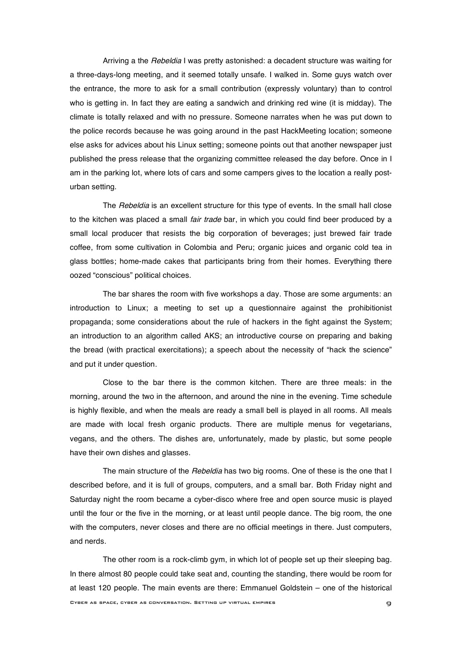Arriving a the *Rebeldia* I was pretty astonished: a decadent structure was waiting for a three-days-long meeting, and it seemed totally unsafe. I walked in. Some guys watch over the entrance, the more to ask for a small contribution (expressly voluntary) than to control who is getting in. In fact they are eating a sandwich and drinking red wine (it is midday). The climate is totally relaxed and with no pressure. Someone narrates when he was put down to the police records because he was going around in the past HackMeeting location; someone else asks for advices about his Linux setting; someone points out that another newspaper just published the press release that the organizing committee released the day before. Once in I am in the parking lot, where lots of cars and some campers gives to the location a really posturban setting.

The Rebeldia is an excellent structure for this type of events. In the small hall close to the kitchen was placed a small *fair trade* bar, in which you could find beer produced by a small local producer that resists the big corporation of beverages; just brewed fair trade coffee, from some cultivation in Colombia and Peru; organic juices and organic cold tea in glass bottles; home-made cakes that participants bring from their homes. Everything there oozed "conscious" political choices.

The bar shares the room with five workshops a day. Those are some arguments: an introduction to Linux; a meeting to set up a questionnaire against the prohibitionist propaganda; some considerations about the rule of hackers in the fight against the System; an introduction to an algorithm called AKS; an introductive course on preparing and baking the bread (with practical exercitations); a speech about the necessity of "hack the science" and put it under question.

Close to the bar there is the common kitchen. There are three meals: in the morning, around the two in the afternoon, and around the nine in the evening. Time schedule is highly flexible, and when the meals are ready a small bell is played in all rooms. All meals are made with local fresh organic products. There are multiple menus for vegetarians, vegans, and the others. The dishes are, unfortunately, made by plastic, but some people have their own dishes and glasses.

The main structure of the Rebeldia has two big rooms. One of these is the one that I described before, and it is full of groups, computers, and a small bar. Both Friday night and Saturday night the room became a cyber-disco where free and open source music is played until the four or the five in the morning, or at least until people dance. The big room, the one with the computers, never closes and there are no official meetings in there. Just computers, and nerds.

Cyber as space, cyber as conversation. Setting up virtual empires 9 The other room is a rock-climb gym, in which lot of people set up their sleeping bag. In there almost 80 people could take seat and, counting the standing, there would be room for at least 120 people. The main events are there: Emmanuel Goldstein – one of the historical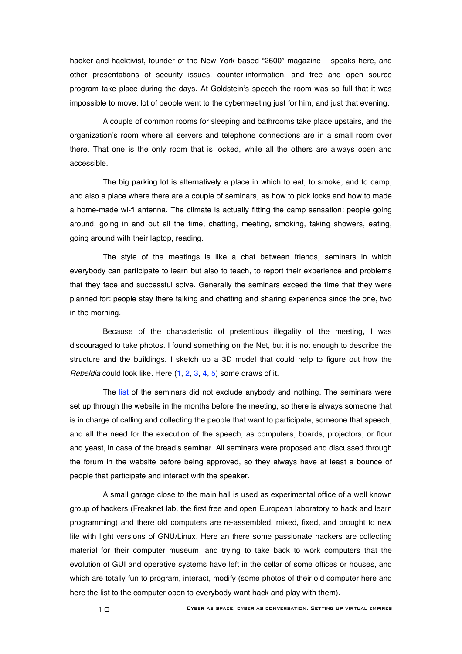hacker and hacktivist, founder of the New York based "2600" magazine – speaks here, and other presentations of security issues, counter-information, and free and open source program take place during the days. At Goldstein's speech the room was so full that it was impossible to move: lot of people went to the cybermeeting just for him, and just that evening.

A couple of common rooms for sleeping and bathrooms take place upstairs, and the organization's room where all servers and telephone connections are in a small room over there. That one is the only room that is locked, while all the others are always open and accessible.

The big parking lot is alternatively a place in which to eat, to smoke, and to camp, and also a place where there are a couple of seminars, as how to pick locks and how to made a home-made wi-fi antenna. The climate is actually fitting the camp sensation: people going around, going in and out all the time, chatting, meeting, smoking, taking showers, eating, going around with their laptop, reading.

The style of the meetings is like a chat between friends, seminars in which everybody can participate to learn but also to teach, to report their experience and problems that they face and successful solve. Generally the seminars exceed the time that they were planned for: people stay there talking and chatting and sharing experience since the one, two in the morning.

Because of the characteristic of pretentious illegality of the meeting, I was discouraged to take photos. I found something on the Net, but it is not enough to describe the structure and the buildings. I sketch up a 3D model that could help to figure out how the Rebeldia could look like. Here  $(1, 2, 3, 4, 5)$  some draws of it.

The list of the seminars did not exclude anybody and nothing. The seminars were set up through the website in the months before the meeting, so there is always someone that is in charge of calling and collecting the people that want to participate, someone that speech, and all the need for the execution of the speech, as computers, boards, projectors, or flour and yeast, in case of the bread's seminar. All seminars were proposed and discussed through the forum in the website before being approved, so they always have at least a bounce of people that participate and interact with the speaker.

A small garage close to the main hall is used as experimental office of a well known group of hackers (Freaknet lab, the first free and open European laboratory to hack and learn programming) and there old computers are re-assembled, mixed, fixed, and brought to new life with light versions of GNU/Linux. Here an there some passionate hackers are collecting material for their computer museum, and trying to take back to work computers that the evolution of GUI and operative systems have left in the cellar of some offices or houses, and which are totally fun to program, interact, modify (some photos of their old computer here and here the list to the computer open to everybody want hack and play with them).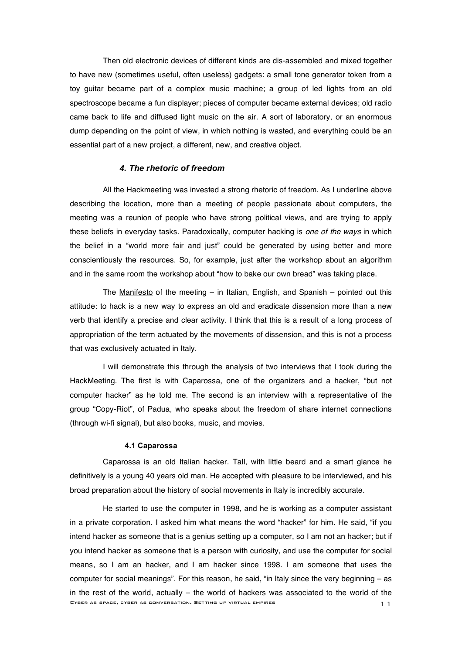Then old electronic devices of different kinds are dis-assembled and mixed together to have new (sometimes useful, often useless) gadgets: a small tone generator token from a toy guitar became part of a complex music machine; a group of led lights from an old spectroscope became a fun displayer; pieces of computer became external devices; old radio came back to life and diffused light music on the air. A sort of laboratory, or an enormous dump depending on the point of view, in which nothing is wasted, and everything could be an essential part of a new project, a different, new, and creative object.

#### *4. The rhetoric of freedom*

All the Hackmeeting was invested a strong rhetoric of freedom. As I underline above describing the location, more than a meeting of people passionate about computers, the meeting was a reunion of people who have strong political views, and are trying to apply these beliefs in everyday tasks. Paradoxically, computer hacking is one of the ways in which the belief in a "world more fair and just" could be generated by using better and more conscientiously the resources. So, for example, just after the workshop about an algorithm and in the same room the workshop about "how to bake our own bread" was taking place.

The Manifesto of the meeting  $-$  in Italian, English, and Spanish  $-$  pointed out this attitude: to hack is a new way to express an old and eradicate dissension more than a new verb that identify a precise and clear activity. I think that this is a result of a long process of appropriation of the term actuated by the movements of dissension, and this is not a process that was exclusively actuated in Italy.

I will demonstrate this through the analysis of two interviews that I took during the HackMeeting. The first is with Caparossa, one of the organizers and a hacker, "but not computer hacker" as he told me. The second is an interview with a representative of the group "Copy-Riot", of Padua, who speaks about the freedom of share internet connections (through wi-fi signal), but also books, music, and movies.

#### **4.1 Caparossa**

Caparossa is an old Italian hacker. Tall, with little beard and a smart glance he definitively is a young 40 years old man. He accepted with pleasure to be interviewed, and his broad preparation about the history of social movements in Italy is incredibly accurate.

CYBER AS SPACE, CYBER AS CONVERSATION. SETTING UP VIRTUAL EMPIRES He started to use the computer in 1998, and he is working as a computer assistant in a private corporation. I asked him what means the word "hacker" for him. He said, "if you intend hacker as someone that is a genius setting up a computer, so I am not an hacker; but if you intend hacker as someone that is a person with curiosity, and use the computer for social means, so I am an hacker, and I am hacker since 1998. I am someone that uses the computer for social meanings". For this reason, he said, "in Italy since the very beginning – as in the rest of the world, actually – the world of hackers was associated to the world of the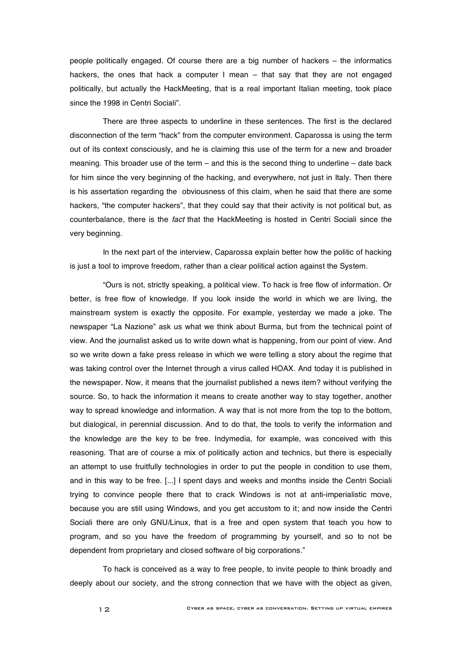people politically engaged. Of course there are a big number of hackers – the informatics hackers, the ones that hack a computer I mean – that say that they are not engaged politically, but actually the HackMeeting, that is a real important Italian meeting, took place since the 1998 in Centri Sociali".

There are three aspects to underline in these sentences. The first is the declared disconnection of the term "hack" from the computer environment. Caparossa is using the term out of its context consciously, and he is claiming this use of the term for a new and broader meaning. This broader use of the term – and this is the second thing to underline – date back for him since the very beginning of the hacking, and everywhere, not just in Italy. Then there is his assertation regarding the obviousness of this claim, when he said that there are some hackers, "the computer hackers", that they could say that their activity is not political but, as counterbalance, there is the fact that the HackMeeting is hosted in Centri Sociali since the very beginning.

In the next part of the interview, Caparossa explain better how the politic of hacking is just a tool to improve freedom, rather than a clear political action against the System.

"Ours is not, strictly speaking, a political view. To hack is free flow of information. Or better, is free flow of knowledge. If you look inside the world in which we are living, the mainstream system is exactly the opposite. For example, yesterday we made a joke. The newspaper "La Nazione" ask us what we think about Burma, but from the technical point of view. And the journalist asked us to write down what is happening, from our point of view. And so we write down a fake press release in which we were telling a story about the regime that was taking control over the Internet through a virus called HOAX. And today it is published in the newspaper. Now, it means that the journalist published a news item? without verifying the source. So, to hack the information it means to create another way to stay together, another way to spread knowledge and information. A way that is not more from the top to the bottom, but dialogical, in perennial discussion. And to do that, the tools to verify the information and the knowledge are the key to be free. Indymedia, for example, was conceived with this reasoning. That are of course a mix of politically action and technics, but there is especially an attempt to use fruitfully technologies in order to put the people in condition to use them, and in this way to be free. [...] I spent days and weeks and months inside the Centri Sociali trying to convince people there that to crack Windows is not at anti-imperialistic move, because you are still using Windows, and you get accustom to it; and now inside the Centri Sociali there are only GNU/Linux, that is a free and open system that teach you how to program, and so you have the freedom of programming by yourself, and so to not be dependent from proprietary and closed software of big corporations."

To hack is conceived as a way to free people, to invite people to think broadly and deeply about our society, and the strong connection that we have with the object as given,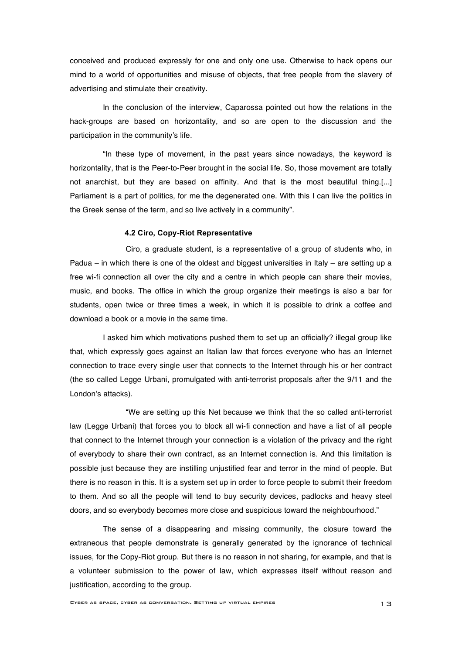conceived and produced expressly for one and only one use. Otherwise to hack opens our mind to a world of opportunities and misuse of objects, that free people from the slavery of advertising and stimulate their creativity.

In the conclusion of the interview, Caparossa pointed out how the relations in the hack-groups are based on horizontality, and so are open to the discussion and the participation in the community's life.

"In these type of movement, in the past years since nowadays, the keyword is horizontality, that is the Peer-to-Peer brought in the social life. So, those movement are totally not anarchist, but they are based on affinity. And that is the most beautiful thing.[...] Parliament is a part of politics, for me the degenerated one. With this I can live the politics in the Greek sense of the term, and so live actively in a community".

#### **4.2 Ciro, Copy-Riot Representative**

Ciro, a graduate student, is a representative of a group of students who, in Padua – in which there is one of the oldest and biggest universities in Italy – are setting up a free wi-fi connection all over the city and a centre in which people can share their movies, music, and books. The office in which the group organize their meetings is also a bar for students, open twice or three times a week, in which it is possible to drink a coffee and download a book or a movie in the same time.

I asked him which motivations pushed them to set up an officially? illegal group like that, which expressly goes against an Italian law that forces everyone who has an Internet connection to trace every single user that connects to the Internet through his or her contract (the so called Legge Urbani, promulgated with anti-terrorist proposals after the 9/11 and the London's attacks).

"We are setting up this Net because we think that the so called anti-terrorist law (Legge Urbani) that forces you to block all wi-fi connection and have a list of all people that connect to the Internet through your connection is a violation of the privacy and the right of everybody to share their own contract, as an Internet connection is. And this limitation is possible just because they are instilling unjustified fear and terror in the mind of people. But there is no reason in this. It is a system set up in order to force people to submit their freedom to them. And so all the people will tend to buy security devices, padlocks and heavy steel doors, and so everybody becomes more close and suspicious toward the neighbourhood."

The sense of a disappearing and missing community, the closure toward the extraneous that people demonstrate is generally generated by the ignorance of technical issues, for the Copy-Riot group. But there is no reason in not sharing, for example, and that is a volunteer submission to the power of law, which expresses itself without reason and justification, according to the group.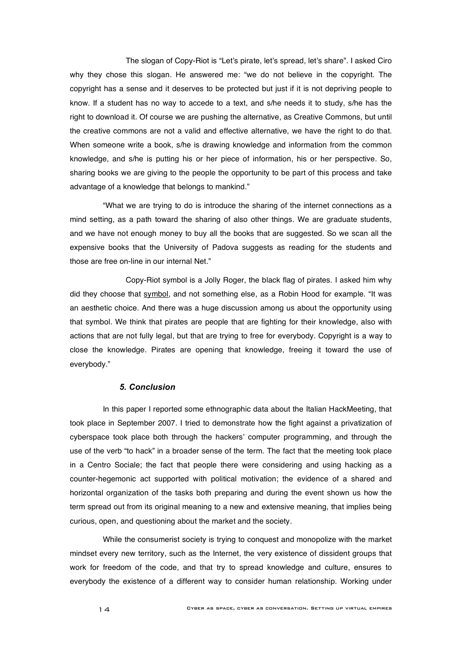The slogan of Copy-Riot is "Let's pirate, let's spread, let's share". I asked Ciro why they chose this slogan. He answered me: "we do not believe in the copyright. The copyright has a sense and it deserves to be protected but just if it is not depriving people to know. If a student has no way to accede to a text, and s/he needs it to study, s/he has the right to download it. Of course we are pushing the alternative, as Creative Commons, but until the creative commons are not a valid and effective alternative, we have the right to do that. When someone write a book, s/he is drawing knowledge and information from the common knowledge, and s/he is putting his or her piece of information, his or her perspective. So, sharing books we are giving to the people the opportunity to be part of this process and take advantage of a knowledge that belongs to mankind."

"What we are trying to do is introduce the sharing of the internet connections as a mind setting, as a path toward the sharing of also other things. We are graduate students, and we have not enough money to buy all the books that are suggested. So we scan all the expensive books that the University of Padova suggests as reading for the students and those are free on-line in our internal Net."

Copy-Riot symbol is a Jolly Roger, the black flag of pirates. I asked him why did they choose that symbol, and not something else, as a Robin Hood for example. "It was an aesthetic choice. And there was a huge discussion among us about the opportunity using that symbol. We think that pirates are people that are fighting for their knowledge, also with actions that are not fully legal, but that are trying to free for everybody. Copyright is a way to close the knowledge. Pirates are opening that knowledge, freeing it toward the use of everybody."

#### *5. Conclusion*

In this paper I reported some ethnographic data about the Italian HackMeeting, that took place in September 2007. I tried to demonstrate how the fight against a privatization of cyberspace took place both through the hackers' computer programming, and through the use of the verb "to hack" in a broader sense of the term. The fact that the meeting took place in a Centro Sociale; the fact that people there were considering and using hacking as a counter-hegemonic act supported with political motivation; the evidence of a shared and horizontal organization of the tasks both preparing and during the event shown us how the term spread out from its original meaning to a new and extensive meaning, that implies being curious, open, and questioning about the market and the society.

While the consumerist society is trying to conquest and monopolize with the market mindset every new territory, such as the Internet, the very existence of dissident groups that work for freedom of the code, and that try to spread knowledge and culture, ensures to everybody the existence of a different way to consider human relationship. Working under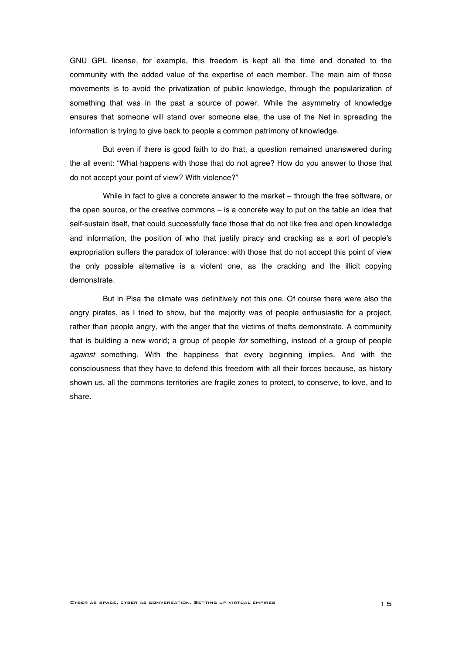GNU GPL license, for example, this freedom is kept all the time and donated to the community with the added value of the expertise of each member. The main aim of those movements is to avoid the privatization of public knowledge, through the popularization of something that was in the past a source of power. While the asymmetry of knowledge ensures that someone will stand over someone else, the use of the Net in spreading the information is trying to give back to people a common patrimony of knowledge.

But even if there is good faith to do that, a question remained unanswered during the all event: "What happens with those that do not agree? How do you answer to those that do not accept your point of view? With violence?"

While in fact to give a concrete answer to the market – through the free software, or the open source, or the creative commons – is a concrete way to put on the table an idea that self-sustain itself, that could successfully face those that do not like free and open knowledge and information, the position of who that justify piracy and cracking as a sort of people's expropriation suffers the paradox of tolerance: with those that do not accept this point of view the only possible alternative is a violent one, as the cracking and the illicit copying demonstrate.

But in Pisa the climate was definitively not this one. Of course there were also the angry pirates, as I tried to show, but the majority was of people enthusiastic for a project, rather than people angry, with the anger that the victims of thefts demonstrate. A community that is building a new world; a group of people for something, instead of a group of people against something. With the happiness that every beginning implies. And with the consciousness that they have to defend this freedom with all their forces because, as history shown us, all the commons territories are fragile zones to protect, to conserve, to love, and to share.